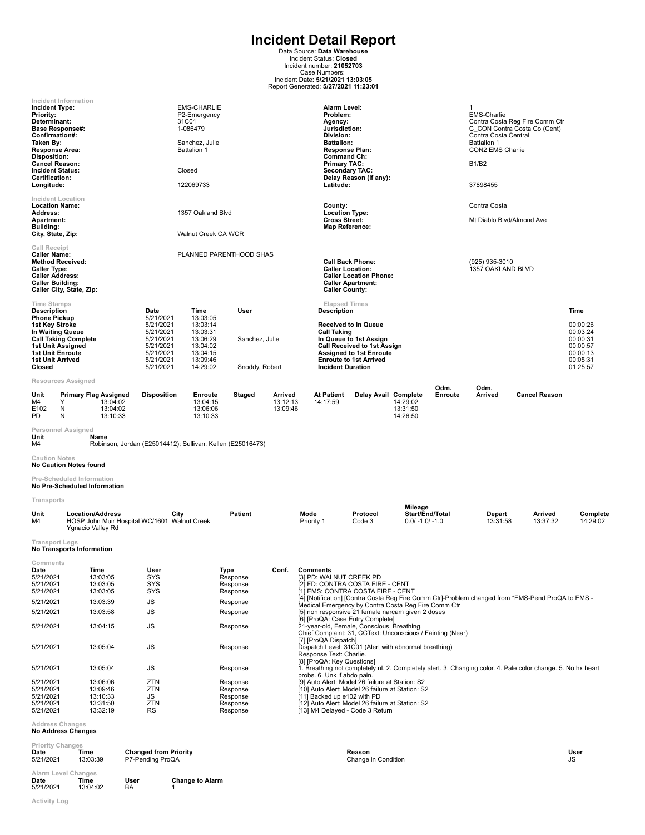**Incident Detail Report**<br>
Data Source: Data Warehouse<br>
Incident Status: Closed<br>
Incident number: 21052703<br>
Case Numbers:<br>
Incident Date: 5271/2021<br>
Report Generated: 5/27/2021 11:23:01

| Incident Type:<br>Priority:<br>Determinant:<br>Confirmation#:<br>Taken By:<br>Response Area:<br>Disposition:<br><b>Cancel Reason:</b><br><b>Incident Status:</b><br>Certification:<br>Longitude:<br><b>Location Name:</b><br>Address:<br><b>Apartment:</b><br>Building:<br>City, State, Zip: | Incident Information<br><b>Base Response#:</b><br><b>Incident Location</b> |                                                                                              |                                                                                                              | <b>EMS-CHARLIE</b><br>P2-Emergency<br>31C01<br>1-086479<br>Sanchez, Julie<br><b>Battalion 1</b><br>Closed<br>122069733<br>1357 Oakland Blvd<br>Walnut Creek CA WCR |                                                                              |                                 | Alarm Level:<br>Problem:<br>Agency:<br>Jurisdiction:<br>Division:<br><b>Battalion:</b><br>Command Ch:<br><b>Primary TAC:</b><br>Latitude:<br>County:<br><b>Location Type:</b><br><b>Cross Street:</b><br>Map Reference:                                                                                                                                                                          | <b>Response Plan:</b><br><b>Secondary TAC:</b><br>Delay Reason (if any):                                                                                       |                                                 |                 | 1<br><b>EMS-Charlie</b><br>Contra Costa Central<br><b>Battalion 1</b><br>CON2 EMS Charlie<br><b>B1/B2</b><br>37898455<br>Contra Costa<br>Mt Diablo Blvd/Almond Ave | Contra Costa Reg Fire Comm Ctr<br>C CON Contra Costa Co (Cent)                                               |                                                                                          |
|----------------------------------------------------------------------------------------------------------------------------------------------------------------------------------------------------------------------------------------------------------------------------------------------|----------------------------------------------------------------------------|----------------------------------------------------------------------------------------------|--------------------------------------------------------------------------------------------------------------|--------------------------------------------------------------------------------------------------------------------------------------------------------------------|------------------------------------------------------------------------------|---------------------------------|--------------------------------------------------------------------------------------------------------------------------------------------------------------------------------------------------------------------------------------------------------------------------------------------------------------------------------------------------------------------------------------------------|----------------------------------------------------------------------------------------------------------------------------------------------------------------|-------------------------------------------------|-----------------|--------------------------------------------------------------------------------------------------------------------------------------------------------------------|--------------------------------------------------------------------------------------------------------------|------------------------------------------------------------------------------------------|
| Call Receipt<br><b>Caller Name:</b><br><b>Caller Type:</b><br><b>Caller Address:</b><br><b>Caller Building:</b>                                                                                                                                                                              | <b>Method Received:</b><br>Caller City, State, Zip:                        |                                                                                              |                                                                                                              |                                                                                                                                                                    | PLANNED PARENTHOOD SHAS                                                      |                                 | <b>Caller County:</b>                                                                                                                                                                                                                                                                                                                                                                            | <b>Call Back Phone:</b><br><b>Caller Location:</b><br><b>Caller Location Phone:</b><br><b>Caller Apartment:</b>                                                |                                                 |                 | (925) 935-3010<br>1357 OAKLAND BLVD                                                                                                                                |                                                                                                              |                                                                                          |
| <b>Time Stamps</b><br><b>Description</b><br><b>Phone Pickup</b><br>1st Key Stroke<br><b>1st Unit Enroute</b><br><b>1st Unit Arrived</b><br>Closed                                                                                                                                            | In Waiting Queue<br><b>Call Taking Complete</b><br>1st Unit Assigned       |                                                                                              | Date<br>5/21/2021<br>5/21/2021<br>5/21/2021<br>5/21/2021<br>5/21/2021<br>5/21/2021<br>5/21/2021<br>5/21/2021 | Time<br>13:03:05<br>13:03:14<br>13:03:31<br>13:06:29<br>13:04:02<br>13:04:15<br>13:09:46<br>14:29:02                                                               | User<br>Sanchez, Julie<br>Snoddy, Robert                                     |                                 | <b>Elapsed Times</b><br><b>Description</b><br><b>Call Taking</b><br><b>Incident Duration</b>                                                                                                                                                                                                                                                                                                     | <b>Received to In Queue</b><br>In Queue to 1st Assign<br><b>Call Received to 1st Assign</b><br><b>Assigned to 1st Enroute</b><br><b>Enroute to 1st Arrived</b> |                                                 |                 |                                                                                                                                                                    |                                                                                                              | Time<br>00:00:26<br>00:03:24<br>00:00:31<br>00:00:57<br>00:00:13<br>00:05:31<br>01:25:57 |
| Unit<br>M4<br>E102<br>PD                                                                                                                                                                                                                                                                     | Resources Assigned<br>Y<br>N<br>N                                          | <b>Primary Flag Assigned</b><br>13:04:02<br>13:04:02<br>13:10:33                             | <b>Disposition</b>                                                                                           | Enroute<br>13:04:15<br>13:06:06<br>13:10:33                                                                                                                        | Staged                                                                       | Arrived<br>13:12:13<br>13:09:46 | <b>At Patient</b><br>14:17:59                                                                                                                                                                                                                                                                                                                                                                    | Delay Avail Complete                                                                                                                                           | 14:29:02<br>13:31:50<br>14:26:50                | Odm.<br>Enroute | Odm.<br>Arrived                                                                                                                                                    | <b>Cancel Reason</b>                                                                                         |                                                                                          |
| Unit<br>M4                                                                                                                                                                                                                                                                                   | Personnel Assigned                                                         | Name<br>Robinson, Jordan (E25014412); Sullivan, Kellen (E25016473)                           |                                                                                                              |                                                                                                                                                                    |                                                                              |                                 |                                                                                                                                                                                                                                                                                                                                                                                                  |                                                                                                                                                                |                                                 |                 |                                                                                                                                                                    |                                                                                                              |                                                                                          |
| <b>Caution Notes</b>                                                                                                                                                                                                                                                                         | <b>No Caution Notes found</b><br>Pre-Scheduled Information                 |                                                                                              |                                                                                                              |                                                                                                                                                                    |                                                                              |                                 |                                                                                                                                                                                                                                                                                                                                                                                                  |                                                                                                                                                                |                                                 |                 |                                                                                                                                                                    |                                                                                                              |                                                                                          |
| Transports                                                                                                                                                                                                                                                                                   |                                                                            | No Pre-Scheduled Information                                                                 |                                                                                                              |                                                                                                                                                                    |                                                                              |                                 |                                                                                                                                                                                                                                                                                                                                                                                                  |                                                                                                                                                                |                                                 |                 |                                                                                                                                                                    |                                                                                                              |                                                                                          |
| Unit<br>M4                                                                                                                                                                                                                                                                                   |                                                                            | <b>Location/Address</b><br>HOSP John Muir Hospital WC/1601 Walnut Creek<br>Ygnacio Valley Rd | City                                                                                                         |                                                                                                                                                                    | <b>Patient</b>                                                               |                                 | Mode<br>Priority 1                                                                                                                                                                                                                                                                                                                                                                               | Protocol<br>Code 3                                                                                                                                             | Mileage<br>Start/End/Total<br>$0.0/ -1.0/ -1.0$ |                 | Depart<br>13:31:58                                                                                                                                                 | Arrived<br>13:37:32                                                                                          | Complete<br>14:29:02                                                                     |
| <b>Transport Legs</b>                                                                                                                                                                                                                                                                        | No Transports Information                                                  |                                                                                              |                                                                                                              |                                                                                                                                                                    |                                                                              |                                 |                                                                                                                                                                                                                                                                                                                                                                                                  |                                                                                                                                                                |                                                 |                 |                                                                                                                                                                    |                                                                                                              |                                                                                          |
| Comments<br>Date<br>5/21/2021<br>5/21/2021<br>5/21/2021<br>5/21/2021<br>5/21/2021<br>5/21/2021                                                                                                                                                                                               |                                                                            | Time<br>13:03:05<br>13:03:05<br>13:03:05<br>13:03:39<br>13:03:58<br>13:04:15                 | User<br><b>SYS</b><br>SYS<br><b>SYS</b><br>JS<br>JS<br>JS                                                    |                                                                                                                                                                    | Type<br>Response<br>Response<br>Response<br>Response<br>Response<br>Response | Conf.                           | Comments<br>[3] PD: WALNUT CREEK PD<br>[2] FD: CONTRA COSTA FIRE - CENT<br>[1] EMS: CONTRA COSTA FIRE - CENT<br>Medical Emergency by Contra Costa Reg Fire Comm Ctr<br>[5] non responsive 21 female narcam given 2 doses<br>[6] [ProQA: Case Entry Complete]<br>21-vear-old. Female. Conscious. Breathing.<br>Chief Complaint: 31, CCText: Unconscious / Fainting (Near)<br>[7] [ProQA Dispatch] |                                                                                                                                                                |                                                 |                 |                                                                                                                                                                    | [4] [Notification] [Contra Costa Reg Fire Comm Ctr]-Problem changed from *EMS-Pend ProQA to EMS -            |                                                                                          |
| 5/21/2021                                                                                                                                                                                                                                                                                    |                                                                            | 13:05:04                                                                                     | JS                                                                                                           |                                                                                                                                                                    | Response                                                                     |                                 | Dispatch Level: 31C01 (Alert with abnormal breathing)<br>Response Text: Charlie.<br>[8] [ProQA: Key Questions]                                                                                                                                                                                                                                                                                   |                                                                                                                                                                |                                                 |                 |                                                                                                                                                                    |                                                                                                              |                                                                                          |
| 5/21/2021<br>5/21/2021<br>5/21/2021<br>5/21/2021<br>5/21/2021<br>5/21/2021                                                                                                                                                                                                                   | <b>Address Changes</b>                                                     | 13:05:04<br>13:06:06<br>13:09:46<br>13:10:33<br>13:31:50<br>13:32:19                         | JS<br>ZTN<br>ZTN<br>JS<br>ZTN<br>RS                                                                          |                                                                                                                                                                    | Response<br>Response<br>Response<br>Response<br>Response<br>Response         |                                 | probs. 6. Unk if abdo pain.<br>[9] Auto Alert: Model 26 failure at Station: S2<br>[10] Auto Alert: Model 26 failure at Station: S2<br>[11] Backed up e102 with PD<br>[12] Auto Alert: Model 26 failure at Station: S2<br>[13] M4 Delayed - Code 3 Return                                                                                                                                         |                                                                                                                                                                |                                                 |                 |                                                                                                                                                                    | 1. Breathing not completely nl. 2. Completely alert. 3. Changing color. 4. Pale color change. 5. No hx heart |                                                                                          |
|                                                                                                                                                                                                                                                                                              | <b>No Address Changes</b>                                                  |                                                                                              |                                                                                                              |                                                                                                                                                                    |                                                                              |                                 |                                                                                                                                                                                                                                                                                                                                                                                                  |                                                                                                                                                                |                                                 |                 |                                                                                                                                                                    |                                                                                                              |                                                                                          |

| <b>Priority Changes</b><br>Date<br>5/21/2021 | Time<br>13:03:39 | <b>Changed from Priority</b><br>P7-Pending ProQA |                        | Reason<br>Change in Condition | User<br><b>JS</b> |
|----------------------------------------------|------------------|--------------------------------------------------|------------------------|-------------------------------|-------------------|
| Alarm Level Changes<br>Date<br>5/21/2021     | Time<br>13:04:02 | User<br>BA                                       | <b>Change to Alarm</b> |                               |                   |

**Activity Log**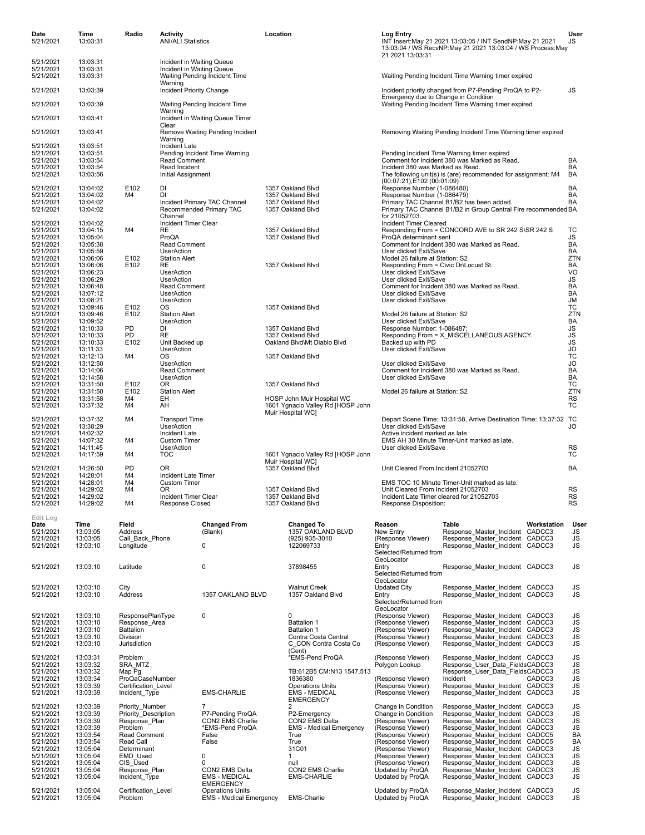| Date<br>5/21/2021      | Time<br>13:03:31     | Radio                                 | Activity<br><b>ANI/ALI Statistics</b>                  |                                                           | Location |                                                                 | Log Entry                                                                       | INT Insert: May 21 2021 13:03:05 / INT SendNP: May 21 2021<br>13:03:04 / WS RecvNP:May 21 2021 13:03:04 / WS Process:May |             | User<br>JS       |
|------------------------|----------------------|---------------------------------------|--------------------------------------------------------|-----------------------------------------------------------|----------|-----------------------------------------------------------------|---------------------------------------------------------------------------------|--------------------------------------------------------------------------------------------------------------------------|-------------|------------------|
| 5/21/2021              | 13:03:31             |                                       |                                                        |                                                           |          |                                                                 | 21 2021 13:03:31                                                                |                                                                                                                          |             |                  |
| 5/21/2021<br>5/21/2021 | 13:03:31<br>13:03:31 |                                       | Incident in Waiting Queue<br>Incident in Waiting Queue | Waiting Pending Incident Time                             |          |                                                                 |                                                                                 | Waiting Pending Incident Time Warning timer expired                                                                      |             |                  |
| 5/21/2021              | 13:03:39             |                                       | Warning<br>Incident Priority Change                    |                                                           |          |                                                                 | Emergency due to Change in Condition                                            | Incident priority changed from P7-Pending ProQA to P2-                                                                   |             | JS               |
| 5/21/2021              | 13:03:39             |                                       | Warning                                                | Waiting Pending Incident Time                             |          |                                                                 |                                                                                 | Waiting Pending Incident Time Warning timer expired                                                                      |             |                  |
| 5/21/2021              | 13:03:41             |                                       | Clear                                                  | Incident in Waiting Queue Timer                           |          |                                                                 |                                                                                 |                                                                                                                          |             |                  |
| 5/21/2021              | 13:03:41             |                                       | Warning                                                | Remove Waiting Pending Incident                           |          |                                                                 |                                                                                 | Removing Waiting Pending Incident Time Warning timer expired                                                             |             |                  |
| 5/21/2021<br>5/21/2021 | 13:03:51<br>13:03:51 |                                       | Incident Late                                          | Pending Incident Time Warning                             |          |                                                                 |                                                                                 | Pending Incident Time Warning timer expired                                                                              |             |                  |
| 5/21/2021              | 13:03:54             |                                       | Read Comment                                           |                                                           |          |                                                                 |                                                                                 | Comment for Incident 380 was Marked as Read.                                                                             |             | BA               |
| 5/21/2021<br>5/21/2021 | 13:03:54<br>13:03:56 |                                       | Read Incident<br>Initial Assignment                    |                                                           |          |                                                                 | Incident 380 was Marked as Read.                                                | The following unit(s) is (are) recommended for assignment: M4                                                            |             | BA<br>BA         |
| 5/21/2021              | 13:04:02             | E102                                  | DI                                                     |                                                           |          | 1357 Oakland Blvd                                               | (00:07:21), E102 (00:01:09)<br>Response Number (1-086480)                       |                                                                                                                          |             | <b>BA</b>        |
| 5/21/2021<br>5/21/2021 | 13:04:02<br>13:04:02 | M4                                    | DI                                                     | Incident Primary TAC Channel                              |          | 1357 Oakland Blvd<br>1357 Oakland Blvd                          | Response Number (1-086479)                                                      | Primary TAC Channel B1/B2 has been added.                                                                                |             | BA<br>BA         |
| 5/21/2021              | 13:04:02             |                                       | Channel                                                | Recommended Primary TAC                                   |          | 1357 Oakland Blvd                                               | for 21052703.                                                                   | Primary TAC Channel B1/B2 in Group Central Fire recommended BA                                                           |             |                  |
| 5/21/2021              | 13:04:02             | M4                                    | Incident Timer Clear                                   |                                                           |          |                                                                 | Incident Timer Cleared                                                          |                                                                                                                          |             | ТC               |
| 5/21/2021<br>5/21/2021 | 13:04:15<br>13:05:04 |                                       | RE<br>ProQA                                            |                                                           |          | 1357 Oakland Blvd<br>1357 Oakland Blvd                          | ProQA determinant sent                                                          | Responding From = CONCORD AVE to SR 242 S\SR 242 S                                                                       |             | JS               |
| 5/21/2021<br>5/21/2021 | 13:05:38<br>13:05:59 |                                       | <b>Read Comment</b><br><b>UserAction</b>               |                                                           |          |                                                                 | User clicked Exit/Save                                                          | Comment for Incident 380 was Marked as Read.                                                                             |             | BA<br><b>BA</b>  |
| 5/21/2021              | 13:06:06             | E102                                  | <b>Station Alert</b>                                   |                                                           |          |                                                                 | Model 26 failure at Station: S2                                                 |                                                                                                                          |             | ZTN              |
| 5/21/2021<br>5/21/2021 | 13:06:06<br>13:06:23 | E102                                  | RE<br>UserAction                                       |                                                           |          | 1357 Oakland Blvd                                               | Responding From = Civic Dr\Locust St.<br>User clicked Exit/Save                 |                                                                                                                          |             | BA<br>VO         |
| 5/21/2021              | 13:06:29             |                                       | <b>UserAction</b>                                      |                                                           |          |                                                                 | User clicked Exit/Save                                                          |                                                                                                                          |             | JS               |
| 5/21/2021<br>5/21/2021 | 13:06:48<br>13:07:12 |                                       | Read Comment<br><b>UserAction</b>                      |                                                           |          |                                                                 | User clicked Exit/Save                                                          | Comment for Incident 380 was Marked as Read.                                                                             |             | BA<br>BA         |
| 5/21/2021              | 13:08:21             |                                       | <b>UserAction</b>                                      |                                                           |          |                                                                 | User clicked Exit/Save                                                          |                                                                                                                          |             | JM               |
| 5/21/2021<br>5/21/2021 | 13:09:46<br>13:09:46 | E102<br>E102                          | 0S<br><b>Station Alert</b>                             |                                                           |          | 1357 Oakland Blvd                                               | Model 26 failure at Station: S2                                                 |                                                                                                                          |             | ТC<br>ZTN        |
| 5/21/2021              | 13:09:52             |                                       | UserAction                                             |                                                           |          |                                                                 | User clicked Exit/Save                                                          |                                                                                                                          |             | BA               |
| 5/21/2021<br>5/21/2021 | 13:10:33<br>13:10:33 | PD<br>PD                              | DI<br>RE                                               |                                                           |          | 1357 Oakland Blvd<br>1357 Oakland Blvd                          | Response Number: 1-086487;                                                      | Responding From = X_MISCELLANEOUS AGENCY.                                                                                |             | JS<br><b>JS</b>  |
| 5/21/2021<br>5/21/2021 | 13:10:33<br>13:11:33 | E102                                  | Unit Backed up<br><b>UserAction</b>                    |                                                           |          | Oakland Blvd\Mt Diablo Blvd                                     | Backed up with PD<br>User clicked Exit/Save                                     |                                                                                                                          |             | JS<br><b>JO</b>  |
| 5/21/2021              | 13:12:13             | M4                                    | ОS                                                     |                                                           |          | 1357 Oakland Blvd                                               |                                                                                 |                                                                                                                          |             | ТC               |
| 5/21/2021<br>5/21/2021 | 13:12:50<br>13:14:06 |                                       | <b>UserAction</b><br>Read Comment                      |                                                           |          |                                                                 | User clicked Exit/Save                                                          | Comment for Incident 380 was Marked as Read.                                                                             |             | JO<br>BA         |
| 5/21/2021              | 13:14:58             |                                       | <b>UserAction</b>                                      |                                                           |          |                                                                 | User clicked Exit/Save                                                          |                                                                                                                          |             | BA               |
| 5/21/2021<br>5/21/2021 | 13:31:50<br>13:31:50 | E102<br>E102                          | OR.<br><b>Station Alert</b>                            |                                                           |          | 1357 Oakland Blvd                                               | Model 26 failure at Station: S2                                                 |                                                                                                                          |             | тс<br><b>ZTN</b> |
| 5/21/2021<br>5/21/2021 | 13:31:58<br>13:37:32 | M4<br>M4                              | EH<br>AΗ                                               |                                                           |          | HOSP John Muir Hospital WC<br>1601 Ygnacio Valley Rd [HOSP John |                                                                                 |                                                                                                                          |             | RS<br>ТC         |
|                        |                      |                                       |                                                        |                                                           |          | Muir Hospital WC]                                               |                                                                                 |                                                                                                                          |             |                  |
| 5/21/2021<br>5/21/2021 | 13:37:32<br>13:38:29 | M4                                    | <b>Transport Time</b><br><b>UserAction</b>             |                                                           |          |                                                                 | User clicked Exit/Save                                                          | Depart Scene Time: 13:31:58, Arrive Destination Time: 13:37:32 TC                                                        |             | JO               |
| 5/21/2021<br>5/21/2021 | 14:02:32<br>14:07:32 | M4                                    | Incident Late<br><b>Custom Timer</b>                   |                                                           |          |                                                                 | Active incident marked as late                                                  | EMS AH 30 Minute Timer-Unit marked as late.                                                                              |             |                  |
| 5/21/2021              | 14:11:45             |                                       | <b>UserAction</b>                                      |                                                           |          |                                                                 | User clicked Exit/Save                                                          |                                                                                                                          |             | RS               |
| 5/21/2021              | 14:17:59             | M4                                    | <b>TOC</b>                                             |                                                           |          | 1601 Ygnacio Valley Rd [HOSP John<br>Muir Hospital WC]          |                                                                                 |                                                                                                                          |             | ТC               |
| 5/21/2021<br>5/21/2021 | 14:26:50<br>14:28:01 | PD<br>M4                              | OR<br>Incident Late Timer                              |                                                           |          | 1357 Oakland Blvd                                               | Unit Cleared From Incident 21052703                                             |                                                                                                                          |             | BA               |
| 5/21/2021              | 14:28:01             | M4                                    | <b>Custom Timer</b>                                    |                                                           |          |                                                                 |                                                                                 | EMS TOC 10 Minute Timer-Unit marked as late.                                                                             |             |                  |
| 5/21/2021<br>5/21/2021 | 14:29:02<br>14:29:02 | M4                                    | 0R<br>Incident Timer Clear                             |                                                           |          | 1357 Oakland Blvd<br>1357 Oakland Blvd                          | Unit Cleared From Incident 21052703<br>Incident Late Timer cleared for 21052703 |                                                                                                                          |             | RS<br><b>RS</b>  |
| 5/21/2021              | 14:29:02             | M4                                    | Response Closed                                        |                                                           |          | 1357 Oakland Blvd                                               | Response Disposition:                                                           |                                                                                                                          |             | <b>RS</b>        |
| Edit Log<br>Date       | Time                 | Field                                 |                                                        | <b>Changed From</b>                                       |          | <b>Changed To</b>                                               | Reason                                                                          | Table                                                                                                                    | Workstation | User             |
| 5/21/2021              | 13:03:05             | Address                               |                                                        | (Blank)                                                   |          | 1357 OAKLAND BLVD                                               | New Entry                                                                       | Response_Master_Incident CADCC3                                                                                          |             | JS               |
| 5/21/2021<br>5/21/2021 | 13:03:05<br>13:03:10 | Call Back Phone<br>Longitude          |                                                        | 0                                                         |          | (925) 935-3010<br>122069733                                     | (Response Viewer)<br>Entry                                                      | Response_Master_Incident CADCC3<br>Response Master Incident CADCC3                                                       |             | JS<br>JS         |
|                        |                      |                                       |                                                        |                                                           |          |                                                                 | Selected/Returned from<br>GeoLocator                                            |                                                                                                                          |             |                  |
| 5/21/2021              | 13:03:10             | Latitude                              |                                                        | $\pmb{0}$                                                 |          | 37898455                                                        | Entry                                                                           | Response Master Incident CADCC3                                                                                          |             | JS               |
|                        |                      |                                       |                                                        |                                                           |          |                                                                 | Selected/Returned from<br>GeoLocator                                            |                                                                                                                          |             |                  |
| 5/21/2021<br>5/21/2021 | 13:03:10<br>13:03:10 | City<br>Address                       |                                                        | 1357 OAKLAND BLVD                                         |          | <b>Walnut Creek</b><br>1357 Oakland Blvd                        | <b>Updated City</b><br>Entry                                                    | Response Master Incident CADCC3<br>Response Master Incident CADCC3                                                       |             | JS<br>JS         |
|                        |                      |                                       |                                                        |                                                           |          |                                                                 | Selected/Returned from                                                          |                                                                                                                          |             |                  |
| 5/21/2021              | 13:03:10             | ResponsePlanType                      |                                                        | 0                                                         |          | 0                                                               | GeoLocator<br>(Response Viewer)                                                 | Response_Master_Incident CADCC3                                                                                          |             | JS               |
| 5/21/2021              | 13:03:10             | Response Area                         |                                                        |                                                           |          | <b>Battalion 1</b>                                              | (Response Viewer)                                                               | Response Master Incident CADCC3                                                                                          |             |                  |
| 5/21/2021<br>5/21/2021 | 13:03:10<br>13:03:10 | Battalion<br>Division                 |                                                        |                                                           |          | <b>Battalion 1</b><br>Contra Costa Central                      | (Response Viewer)<br>(Response Viewer)                                          | Response Master Incident CADCC3<br>Response Master Incident CADCC3                                                       |             | JS<br>JS<br>JS   |
| 5/21/2021              | 13:03:10             | Jurisdiction                          |                                                        |                                                           |          | C CON Contra Costa Co<br>(Cent)                                 | (Response Viewer)                                                               | Response Master Incident CADCC3                                                                                          |             | JS               |
| 5/21/2021              | 13:03:31             | Problem                               |                                                        |                                                           |          | *EMS-Pend ProQA                                                 | (Response Viewer)                                                               | Response_Master_Incident CADCC3                                                                                          |             | JS<br>JS         |
| 5/21/2021<br>5/21/2021 | 13:03:32<br>13:03:32 | SRA MTZ<br>Map Pg                     |                                                        |                                                           |          | TB:612B5 CM:N13 1547,513                                        | Polygon Lookup                                                                  | Response_User_Data_FieldsCADCC3<br>Response User Data FieldsCADCC3                                                       |             |                  |
| 5/21/2021              | 13:03:34             | ProQaCaseNumber                       |                                                        |                                                           |          | 1836380                                                         | (Response Viewer)                                                               | Incident                                                                                                                 | CADCC3      | JS<br>JS         |
| 5/21/2021<br>5/21/2021 | 13:03:39<br>13:03:39 | Certification Level<br>Incident_Type  |                                                        | <b>EMS-CHARLIE</b>                                        |          | <b>Operations Units</b><br><b>EMS - MEDICAL</b>                 | (Response Viewer)<br>(Response Viewer)                                          | Response Master Incident CADCC3<br>Response Master Incident CADCC3                                                       |             | JS<br>JS         |
| 5/21/2021              | 13:03:39             | Priority_Number                       |                                                        |                                                           |          | <b>EMERGENCY</b>                                                | Change in Condition                                                             | Response_Master_Incident CADCC3                                                                                          |             | JS               |
| 5/21/2021<br>5/21/2021 | 13:03:39<br>13:03:39 | Priority_Description<br>Response Plan |                                                        | P7-Pending ProQA<br>CON2 EMS Charlie                      |          | P2-Emergency<br>CON2 EMS Delta                                  | Change in Condition<br>(Response Viewer)                                        | Response_Master_Incident CADCC3<br>Response Master Incident CADCC3                                                       |             | JS<br>JS         |
| 5/21/2021              | 13:03:39             | Problem                               |                                                        | *EMS-Pend ProQA                                           |          | <b>EMS</b> - Medical Emergency                                  | (Response Viewer)                                                               | Response_Master_Incident CADCC3                                                                                          |             | JS               |
| 5/21/2021<br>5/21/2021 | 13:03:54<br>13:03:54 | Read Comment<br>Read Call             |                                                        | False<br>False                                            |          | True<br>True                                                    | (Response Viewer)<br>(Response Viewer)                                          | Response Master Incident CADCC5<br>Response_Master_Incident CADCC5                                                       |             | BA<br>BA         |
| 5/21/2021              | 13:05:04             | Determinant                           |                                                        |                                                           |          | 31C01                                                           | (Response Viewer)                                                               | Response Master Incident CADCC3                                                                                          |             | JS               |
| 5/21/2021<br>5/21/2021 | 13:05:04<br>13:05:04 | EMD Used<br>CIS Used                  |                                                        | 0<br>0                                                    |          | $\mathbf{1}$<br>null                                            | (Response Viewer)<br>(Response Viewer)                                          | Response Master Incident CADCC3<br>Response_Master_Incident CADCC3                                                       |             | <b>JS<br/>JS</b> |
| 5/21/2021              | 13:05:04<br>13:05:04 | Response Plan<br>Incident Type        |                                                        | CON2 EMS Delta<br><b>EMS - MEDICAL</b>                    |          | CON2 EMS Charlie<br><b>EMS-CHARLIE</b>                          | Updated by ProQA<br>Updated by ProQA                                            | Response Master Incident CADCC3<br>Response Master Incident CADCC3                                                       |             | JS<br>JS         |
| 5/21/2021              |                      |                                       |                                                        | <b>EMERGENCY</b>                                          |          |                                                                 |                                                                                 |                                                                                                                          |             |                  |
| 5/21/2021<br>5/21/2021 | 13:05:04<br>13:05:04 | Certification_Level<br>Problem        |                                                        | <b>Operations Units</b><br><b>EMS</b> - Medical Emergency |          | <b>EMS-Charlie</b>                                              | Updated by ProQA<br>Updated by ProQA                                            | Response_Master_Incident CADCC3<br>Response Master Incident CADCC3                                                       |             | JS<br>JS         |